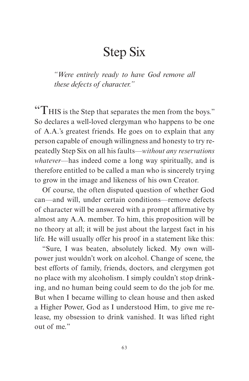## Step Six

*"Were entirely ready to have God remove all these defects of character."*

"THIS is the Step that separates the men from the boys." So declares a well-loved clergyman who happens to be one of A.A.'s greatest friends. He goes on to explain that any person capable of enough willingness and honesty to try repeatedly Step Six on all his faults—*without any reservations whatever*—has indeed come a long way spiritually, and is therefore entitled to be called a man who is sincerely trying to grow in the image and likeness of his own Creator.

Of course, the often disputed question of whether God can—and will, under certain conditions—remove defects of character will be answered with a prompt affirmative by almost any A.A. member. To him, this proposition will be no theory at all; it will be just about the largest fact in his life. He will usually offer his proof in a statement like this:

"Sure, I was beaten, absolutely licked. My own willpower just wouldn't work on alcohol. Change of scene, the best efforts of family, friends, doctors, and clergymen got no place with my alcoholism. I simply couldn't stop drinking, and no human being could seem to do the job for me. But when I became willing to clean house and then asked a Higher Power, God as I understood Him, to give me release, my obsession to drink vanished. It was lifted right out of me."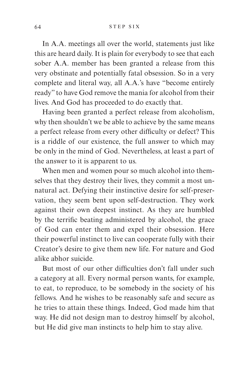In A.A. meetings all over the world, statements just like this are heard daily. It is plain for everybody to see that each sober A.A. member has been granted a release from this very obstinate and potentially fatal obsession. So in a very complete and literal way, all A.A.'s have "become entirely ready" to have God remove the mania for alcohol from their lives. And God has proceeded to do exactly that.

Having been granted a perfect release from alcoholism, why then shouldn't we be able to achieve by the same means a perfect release from every other difficulty or defect? This is a riddle of our existence, the full answer to which may be only in the mind of God. Nevertheless, at least a part of the answer to it is apparent to us.

When men and women pour so much alcohol into themselves that they destroy their lives, they commit a most unnatural act. Defying their instinctive desire for self-preservation, they seem bent upon self-destruction. They work against their own deepest instinct. As they are humbled by the terrific beating administered by alcohol, the grace of God can enter them and expel their obsession. Here their powerful instinct to live can cooperate fully with their Creator's desire to give them new life. For nature and God alike abhor suicide.

But most of our other difficulties don't fall under such a category at all. Every normal person wants, for example, to eat, to reproduce, to be somebody in the society of his fellows. And he wishes to be reasonably safe and secure as he tries to attain these things. Indeed, God made him that way. He did not design man to destroy himself by alcohol, but He did give man instincts to help him to stay alive.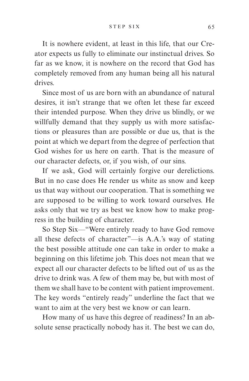It is nowhere evident, at least in this life, that our Creator expects us fully to eliminate our instinctual drives. So far as we know, it is nowhere on the record that God has completely removed from any human being all his natural drives.

Since most of us are born with an abundance of natural desires, it isn't strange that we often let these far exceed their intended purpose. When they drive us blindly, or we willfully demand that they supply us with more satisfactions or pleasures than are possible or due us, that is the point at which we depart from the degree of perfection that God wishes for us here on earth. That is the measure of our character defects, or, if you wish, of our sins.

If we ask, God will certainly forgive our derelictions. But in no case does He render us white as snow and keep us that way without our cooperation. That is something we are supposed to be willing to work toward ourselves. He asks only that we try as best we know how to make progress in the building of character.

So Step Six—"Were entirely ready to have God remove all these defects of character"—is A.A.'s way of stating the best possible attitude one can take in order to make a beginning on this lifetime job. This does not mean that we expect all our character defects to be lifted out of us as the drive to drink was. A few of them may be, but with most of them we shall have to be content with patient improvement. The key words "entirely ready" underline the fact that we want to aim at the very best we know or can learn.

How many of us have this degree of readiness? In an absolute sense practically nobody has it. The best we can do,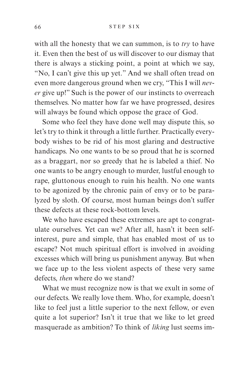with all the honesty that we can summon, is to *try* to have it. Even then the best of us will discover to our dismay that there is always a sticking point, a point at which we say, "No, I can't give this up yet." And we shall often tread on even more dangerous ground when we cry, "This I will *never* give up!" Such is the power of our instincts to overreach themselves. No matter how far we have progressed, desires will always be found which oppose the grace of God.

Some who feel they have done well may dispute this, so let's try to think it through a little further. Practically everybody wishes to be rid of his most glaring and destructive handicaps. No one wants to be so proud that he is scorned as a braggart, nor so greedy that he is labeled a thief. No one wants to be angry enough to murder, lustful enough to rape, gluttonous enough to ruin his health. No one wants to be agonized by the chronic pain of envy or to be paralyzed by sloth. Of course, most human beings don't suffer these defects at these rock-bottom levels.

We who have escaped these extremes are apt to congratulate ourselves. Yet can we? After all, hasn't it been selfinterest, pure and simple, that has enabled most of us to escape? Not much spiritual effort is involved in avoiding excesses which will bring us punishment anyway. But when we face up to the less violent aspects of these very same defects, *then* where do we stand?

What we must recognize now is that we exult in some of our defects. We really love them. Who, for example, doesn't like to feel just a little superior to the next fellow, or even quite a lot superior? Isn't it true that we like to let greed masquerade as ambition? To think of *liking* lust seems im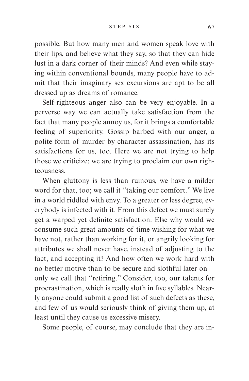possible. But how many men and women speak love with their lips, and believe what they say, so that they can hide lust in a dark corner of their minds? And even while staying within conventional bounds, many people have to admit that their imaginary sex excursions are apt to be all dressed up as dreams of romance.

Self-righteous anger also can be very enjoyable. In a perverse way we can actually take satisfaction from the fact that many people annoy us, for it brings a comfortable feeling of superiority. Gossip barbed with our anger, a polite form of murder by character assassination, has its satisfactions for us, too. Here we are not trying to help those we criticize; we are trying to proclaim our own righteousness.

When gluttony is less than ruinous, we have a milder word for that, too; we call it "taking our comfort." We live in a world riddled with envy. To a greater or less degree, everybody is infected with it. From this defect we must surely get a warped yet definite satisfaction. Else why would we consume such great amounts of time wishing for what we have not, rather than working for it, or angrily looking for attributes we shall never have, instead of adjusting to the fact, and accepting it? And how often we work hard with no better motive than to be secure and slothful later on only we call that "retiring." Consider, too, our talents for procrastination, which is really sloth in five syllables. Nearly anyone could submit a good list of such defects as these, and few of us would seriously think of giving them up, at least until they cause us excessive misery.

Some people, of course, may conclude that they are in-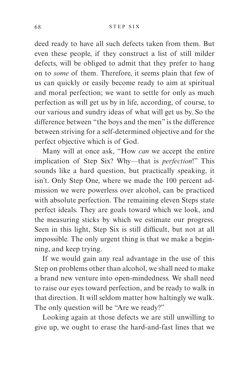deed ready to have all such defects taken from them. But even these people, if they construct a list of still milder defects, will be obliged to admit that they prefer to hang on to *some* of them. Therefore, it seems plain that few of us can quickly or easily become ready to aim at spiritual and moral perfection; we want to settle for only as much perfection as will get us by in life, according, of course, to our various and sundry ideas of what will get us by. So the difference between "the boys and the men" is the difference between striving for a self-determined objective and for the perfect objective which is of God.

Many will at once ask, "How *can* we accept the entire implication of Step Six? Why—that is *perfection*!" This sounds like a hard question, but practically speaking, it isn't. Only Step One, where we made the 100 percent admission we were powerless over alcohol, can be practiced with absolute perfection. The remaining eleven Steps state perfect ideals. They are goals toward which we look, and the measuring sticks by which we estimate our progress. Seen in this light, Step Six is still difficult, but not at all impossible. The only urgent thing is that we make a beginning, and keep trying.

If we would gain any real advantage in the use of this Step on problems other than alcohol, we shall need to make a brand new venture into open-mindedness. We shall need to raise our eyes toward perfection, and be ready to walk in that direction. It will seldom matter how haltingly we walk. The only question will be "Are we ready?"

Looking again at those defects we are still unwilling to give up, we ought to erase the hard-and-fast lines that we